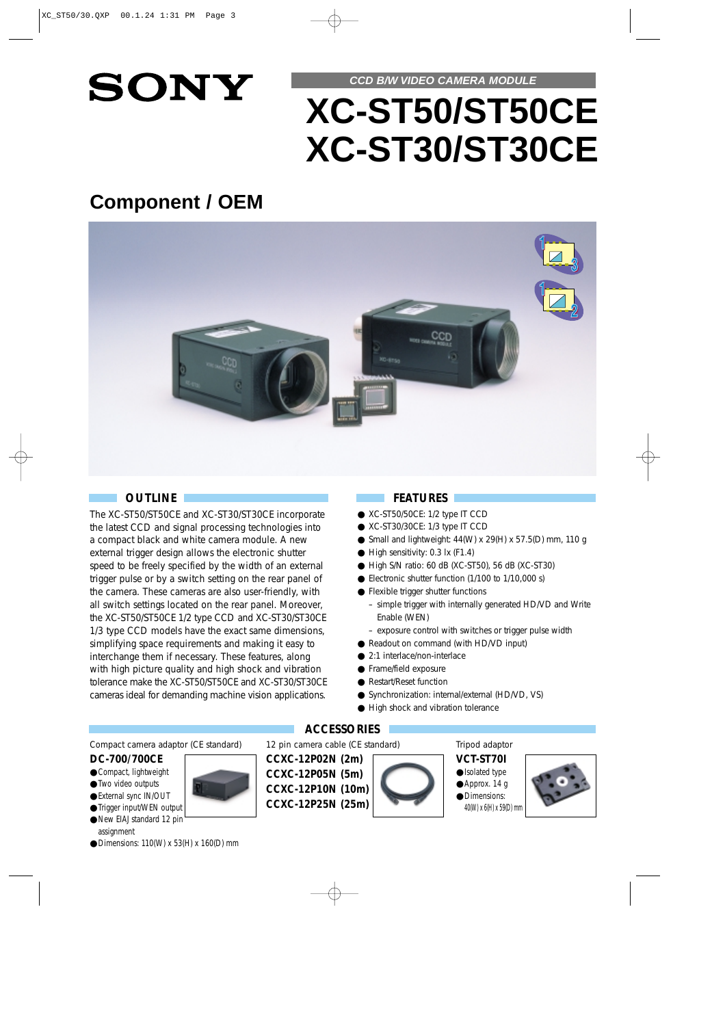

# **CCD B/W VIDEO CAMERA MODULE XC-ST50/ST50CE XC-ST30/ST30CE**

## **Component / OEM**



## **OUTLINE**

The XC-ST50/ST50CE and XC-ST30/ST30CE incorporate the latest CCD and signal processing technologies into a compact black and white camera module. A new external trigger design allows the electronic shutter speed to be freely specified by the width of an external trigger pulse or by a switch setting on the rear panel of the camera. These cameras are also user-friendly, with all switch settings located on the rear panel. Moreover, the XC-ST50/ST50CE 1/2 type CCD and XC-ST30/ST30CE 1/3 type CCD models have the exact same dimensions, simplifying space requirements and making it easy to interchange them if necessary. These features, along with high picture quality and high shock and vibration tolerance make the XC-ST50/ST50CE and XC-ST30/ST30CE cameras ideal for demanding machine vision applications.

## **FEATURES**

- XC-ST50/50CE: 1/2 type IT CCD
- XC-ST30/30CE: 1/3 type IT CCD
- Small and lightweight:  $44(W) \times 29(H) \times 57.5(D)$  mm, 110 g
- High sensitivity: 0.3 lx (F1.4)
- High S/N ratio: 60 dB (XC-ST50), 56 dB (XC-ST30)
- Electronic shutter function (1/100 to 1/10,000 s)
- Flexible trigger shutter functions
	- simple trigger with internally generated HD/VD and Write Enable (WEN)
	- exposure control with switches or trigger pulse width
- Readout on command (with HD/VD input)
- 2:1 interlace/non-interlace
- Frame/field exposure
- Restart/Reset function
- Synchronization: internal/external (HD/VD, VS)
- High shock and vibration tolerance

## **ACCESSORIES**

12 pin camera cable (CE standard)

**CCXC-12P02N (2m) CCXC-12P05N (5m) CCXC-12P10N (10m) CCXC-12P25N (25m)**



Tripod adaptor

**VCT-ST70I** ●Isolated type ● Approx. 14 g ●Dimensions: 40(W) x 6(H) x 59(D) mm

Compact camera adaptor (CE standard)

## **DC-700/700CE**

- Compact, lightweight
- ●Two video outputs
- External sync IN/OUT
- ●Trigger input/WEN output ●New EIAJ standard 12 pin
- assignment
- Dimensions: 110(W) x 53(H) x 160(D) mm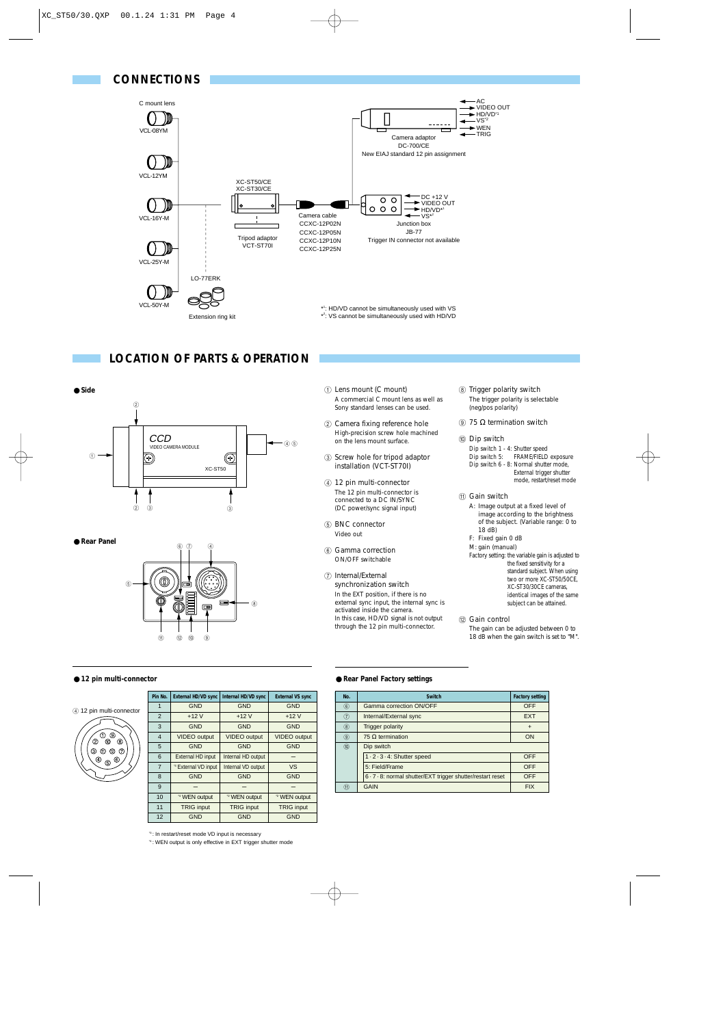

## **LOCATION OF PARTS & OPERATION**



● **Rear Panel**



#### ● **12 pin multi-connector**



| Pin No.          |                        | <b>External HD/VD sync</b>     | Internal HD/VD sync     | <b>External VS sync</b> |  |
|------------------|------------------------|--------------------------------|-------------------------|-------------------------|--|
| 1                |                        | <b>GND</b>                     | <b>GND</b>              | <b>GND</b>              |  |
| $\overline{2}$   |                        | $+12V$                         | $+12V$                  | $+12V$                  |  |
| 3                |                        | <b>GND</b>                     | <b>GND</b>              | <b>GND</b>              |  |
| $\overline{4}$   |                        | <b>VIDEO</b> output            | <b>VIDEO</b> output     | <b>VIDEO</b> output     |  |
| 5                |                        | <b>GND</b>                     | <b>GND</b>              | <b>GND</b>              |  |
|                  | 6<br>External HD input |                                | Internal HD output      |                         |  |
| $\overline{7}$   |                        | <sup>3</sup> External VD input | Internal VD output      | <b>VS</b>               |  |
| 8                |                        | <b>GND</b><br><b>GND</b>       |                         | <b>GND</b>              |  |
| 9                |                        |                                |                         |                         |  |
| 10               |                        | <sup>*4</sup> WEN output       | <sup>2</sup> WEN output | <sup>2</sup> WEN output |  |
| 11               |                        | <b>TRIG input</b>              | <b>TRIG input</b>       | <b>TRIG input</b>       |  |
| 12<br><b>GND</b> |                        | <b>GND</b>                     | <b>GND</b>              |                         |  |

1 Lens mount (C mount) A commercial C mount lens as well as Sony standard lenses can be used.

- 2 Camera fixing reference hole High-precision screw hole machined on the lens mount surface.
- 3 Screw hole for tripod adaptor installation (VCT-ST70I)
- 4 12 pin multi-connector The 12 pin multi-connector is connected to a DC IN/SYNC (DC power/sync signal input)
- 5 BNC connector Video out
- 6 Gamma correction ON/OFF switchable
- 7 Internal/External synchronization switch In the EXT position, if there is no external sync input, the internal sync is activated inside the camera. In this case, HD/VD signal is not output through the 12 pin multi-connector.
- 8 Trigger polarity switch The trigger polarity is selectable (neg/pos polarity)
- $9$  75 Ω termination switch

#### 0 Dip switch

- Dip switch 1 4: Shutter speed Dip switch 5: FRAME/FIELD exposure Dip switch 6 - 8: Normal shutter mode, External trigger shutter mode, restart/reset mode
- (fl) Gain switch
	- A: Image output at a fixed level of image according to the brightness of the subject. (Variable range: 0 to 18 dB) F: Fixed gain 0 dB M: gain (manual)

Factory setting: the variable gain is adjusted to the fixed sensitivity for a standard subject. When using two or more XC-ST50/50CE, XC-ST30/30CE cameras, identical images of the same subject can be attained.

12 Gain control The gain can be adjusted between 0 to 18 dB when the gain switch is set to "M".

#### ● **Rear Panel Factory settings**

| No.         | <b>Switch</b>                                               | <b>Factory setting</b> |  |  |  |
|-------------|-------------------------------------------------------------|------------------------|--|--|--|
| $\circledR$ | Gamma correction ON/OFF                                     | OFF                    |  |  |  |
| 7           | Internal/External sync                                      | <b>EXT</b>             |  |  |  |
| (8)         | <b>Trigger polarity</b>                                     | $\ddot{}$              |  |  |  |
| $\circledS$ | 75 $\Omega$ termination                                     | ON                     |  |  |  |
| (10)        | Dip switch                                                  |                        |  |  |  |
|             | 1 - 2 - 3 - 4: Shutter speed                                | OFF                    |  |  |  |
|             | 5: Field/Frame                                              | <b>OFF</b>             |  |  |  |
|             | 6 · 7 · 8: normal shutter/EXT trigger shutter/restart reset | <b>OFF</b>             |  |  |  |
| 11)         | GAIN                                                        | <b>FIX</b>             |  |  |  |

<sup>3</sup>: In restart/reset mode VD input is necessary

\*4 : WEN output is only effective in EXT trigger shutter mode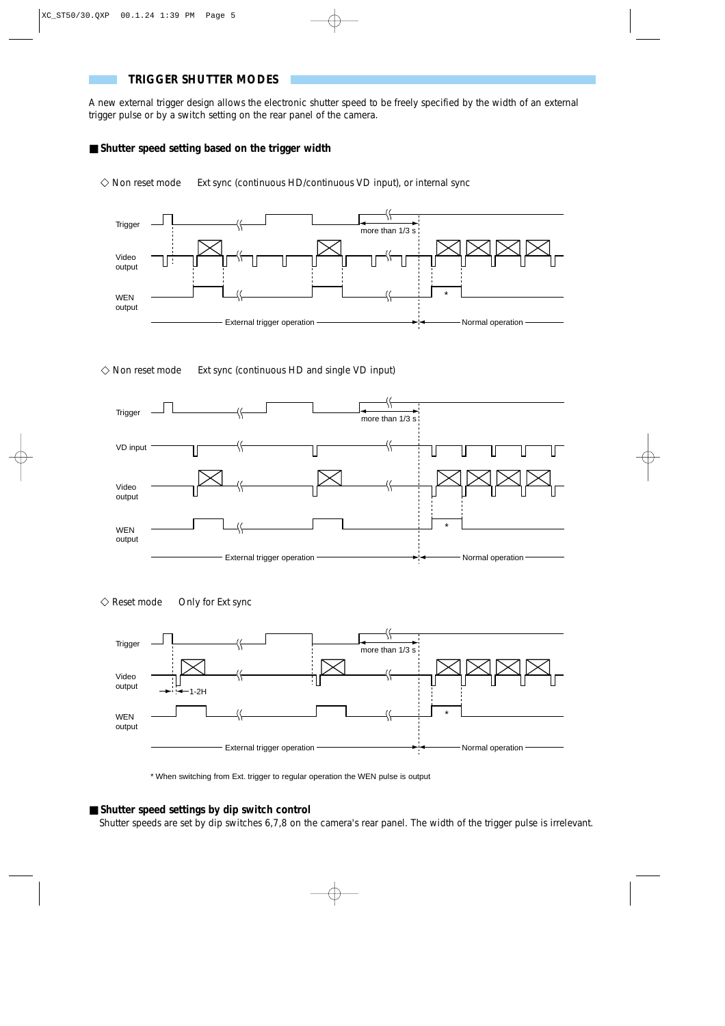## **TRIGGER SHUTTER MODES**

A new external trigger design allows the electronic shutter speed to be freely specified by the width of an external trigger pulse or by a switch setting on the rear panel of the camera.

## ■ **Shutter speed setting based on the trigger width**

 $\Diamond$  Non reset mode Ext sync (continuous HD/continuous VD input), or internal sync



 $\diamondsuit$  Non reset mode Ext sync (continuous HD and single VD input)



 $\Diamond$  Reset mode Only for Ext sync



\* When switching from Ext. trigger to regular operation the WEN pulse is output

### ■ **Shutter speed settings by dip switch control**

Shutter speeds are set by dip switches 6,7,8 on the camera's rear panel. The width of the trigger pulse is irrelevant.